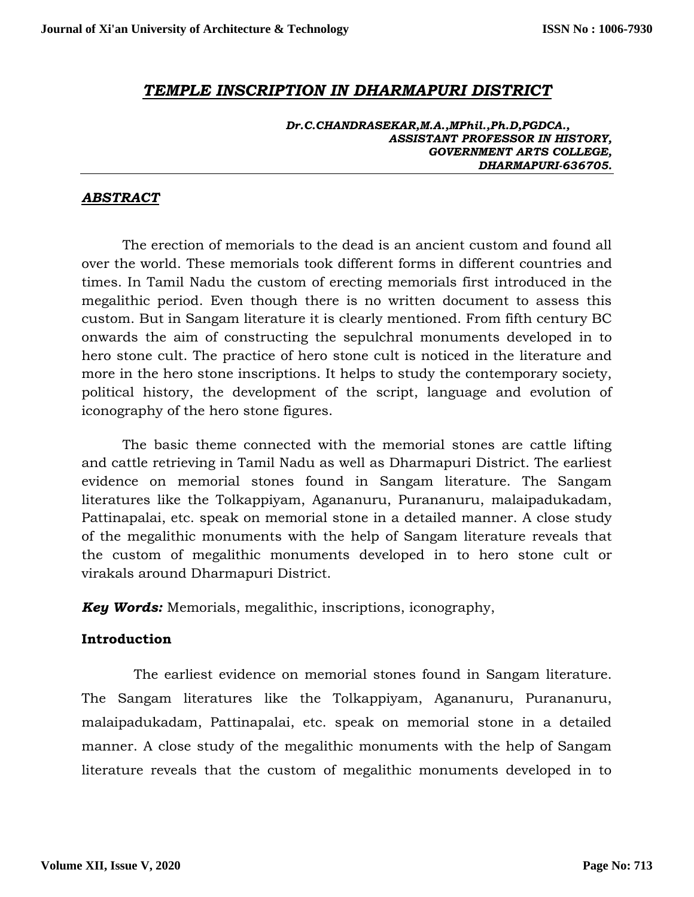# *TEMPLE INSCRIPTION IN DHARMAPURI DISTRICT*

*Dr.C.CHANDRASEKAR,M.A.,MPhil.,Ph.D,PGDCA., ASSISTANT PROFESSOR IN HISTORY, GOVERNMENT ARTS COLLEGE, DHARMAPURI-636705.*

#### *ABSTRACT*

The erection of memorials to the dead is an ancient custom and found all over the world. These memorials took different forms in different countries and times. In Tamil Nadu the custom of erecting memorials first introduced in the megalithic period. Even though there is no written document to assess this custom. But in Sangam literature it is clearly mentioned. From fifth century BC onwards the aim of constructing the sepulchral monuments developed in to hero stone cult. The practice of hero stone cult is noticed in the literature and more in the hero stone inscriptions. It helps to study the contemporary society, political history, the development of the script, language and evolution of iconography of the hero stone figures.

The basic theme connected with the memorial stones are cattle lifting and cattle retrieving in Tamil Nadu as well as Dharmapuri District. The earliest evidence on memorial stones found in Sangam literature. The Sangam literatures like the Tolkappiyam, Agananuru, Purananuru, malaipadukadam, Pattinapalai, etc. speak on memorial stone in a detailed manner. A close study of the megalithic monuments with the help of Sangam literature reveals that the custom of megalithic monuments developed in to hero stone cult or virakals around Dharmapuri District.

*Key Words:* Memorials, megalithic, inscriptions, iconography,

### **Introduction**

 The earliest evidence on memorial stones found in Sangam literature. The Sangam literatures like the Tolkappiyam, Agananuru, Purananuru, malaipadukadam, Pattinapalai, etc. speak on memorial stone in a detailed manner. A close study of the megalithic monuments with the help of Sangam literature reveals that the custom of megalithic monuments developed in to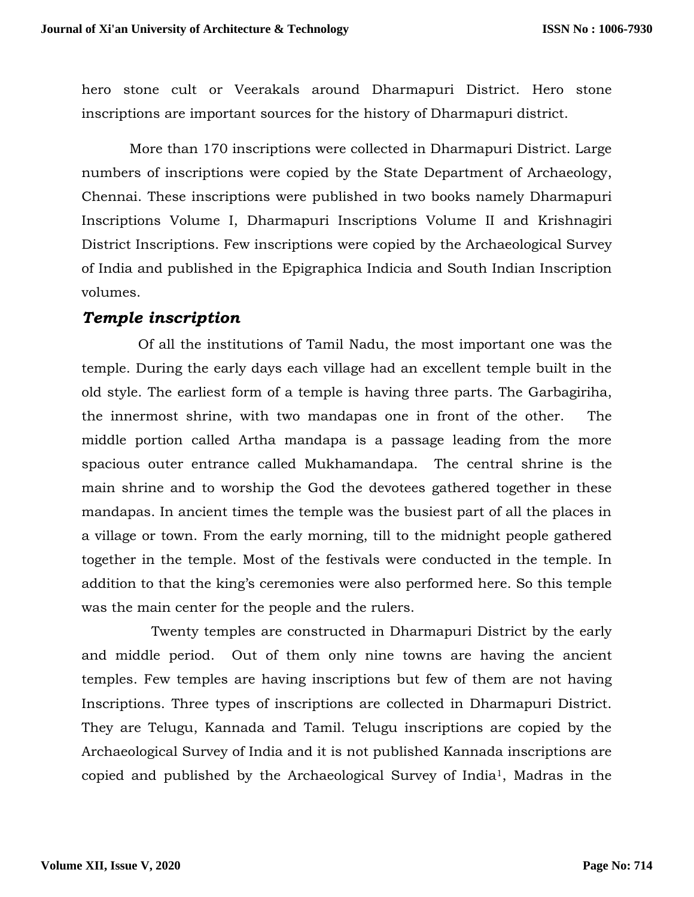hero stone cult or Veerakals around Dharmapuri District. Hero stone inscriptions are important sources for the history of Dharmapuri district.

 More than 170 inscriptions were collected in Dharmapuri District. Large numbers of inscriptions were copied by the State Department of Archaeology, Chennai. These inscriptions were published in two books namely Dharmapuri Inscriptions Volume I, Dharmapuri Inscriptions Volume II and Krishnagiri District Inscriptions. Few inscriptions were copied by the Archaeological Survey of India and published in the Epigraphica Indicia and South Indian Inscription volumes.

# *Temple inscription*

 Of all the institutions of Tamil Nadu, the most important one was the temple. During the early days each village had an excellent temple built in the old style. The earliest form of a temple is having three parts. The Garbagiriha, the innermost shrine, with two mandapas one in front of the other. The middle portion called Artha mandapa is a passage leading from the more spacious outer entrance called Mukhamandapa. The central shrine is the main shrine and to worship the God the devotees gathered together in these mandapas. In ancient times the temple was the busiest part of all the places in a village or town. From the early morning, till to the midnight people gathered together in the temple. Most of the festivals were conducted in the temple. In addition to that the king's ceremonies were also performed here. So this temple was the main center for the people and the rulers.

 Twenty temples are constructed in Dharmapuri District by the early and middle period. Out of them only nine towns are having the ancient temples. Few temples are having inscriptions but few of them are not having Inscriptions. Three types of inscriptions are collected in Dharmapuri District. They are Telugu, Kannada and Tamil. Telugu inscriptions are copied by the Archaeological Survey of India and it is not published Kannada inscriptions are copied and published by the Archaeological Survey of India1, Madras in the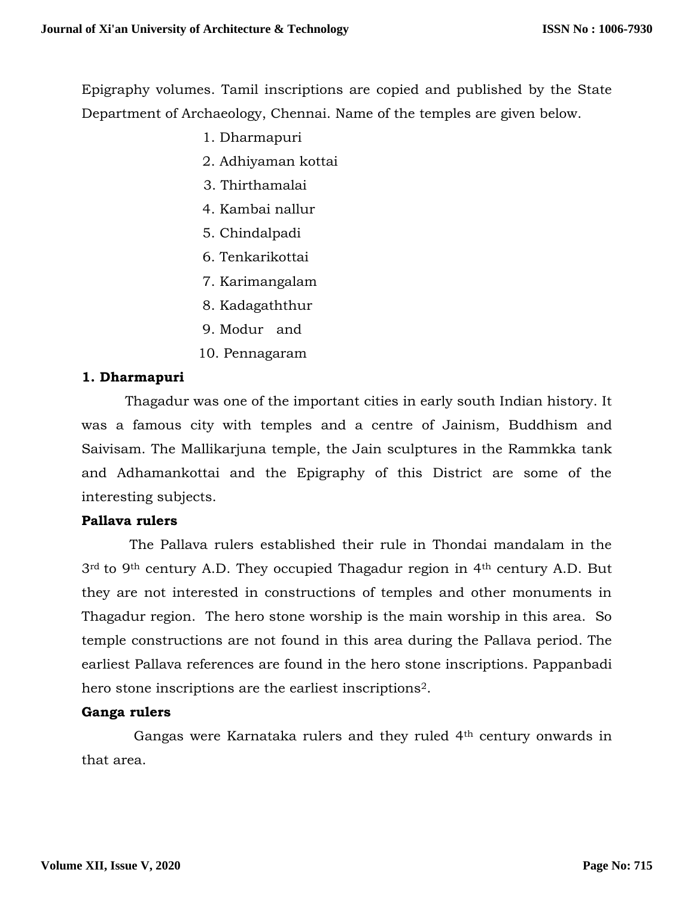Epigraphy volumes. Tamil inscriptions are copied and published by the State Department of Archaeology, Chennai. Name of the temples are given below.

- 1. Dharmapuri
- 2. Adhiyaman kottai
- 3. Thirthamalai
- 4. Kambai nallur
- 5. Chindalpadi
- 6. Tenkarikottai
- 7. Karimangalam
- 8. Kadagaththur
- 9. Modur and
- 10. Pennagaram

## **1. Dharmapuri**

 Thagadur was one of the important cities in early south Indian history. It was a famous city with temples and a centre of Jainism, Buddhism and Saivisam. The Mallikarjuna temple, the Jain sculptures in the Rammkka tank and Adhamankottai and the Epigraphy of this District are some of the interesting subjects.

## **Pallava rulers**

 The Pallava rulers established their rule in Thondai mandalam in the 3rd to 9th century A.D. They occupied Thagadur region in 4th century A.D. But they are not interested in constructions of temples and other monuments in Thagadur region. The hero stone worship is the main worship in this area. So temple constructions are not found in this area during the Pallava period. The earliest Pallava references are found in the hero stone inscriptions. Pappanbadi hero stone inscriptions are the earliest inscriptions2.

### **Ganga rulers**

 Gangas were Karnataka rulers and they ruled 4th century onwards in that area.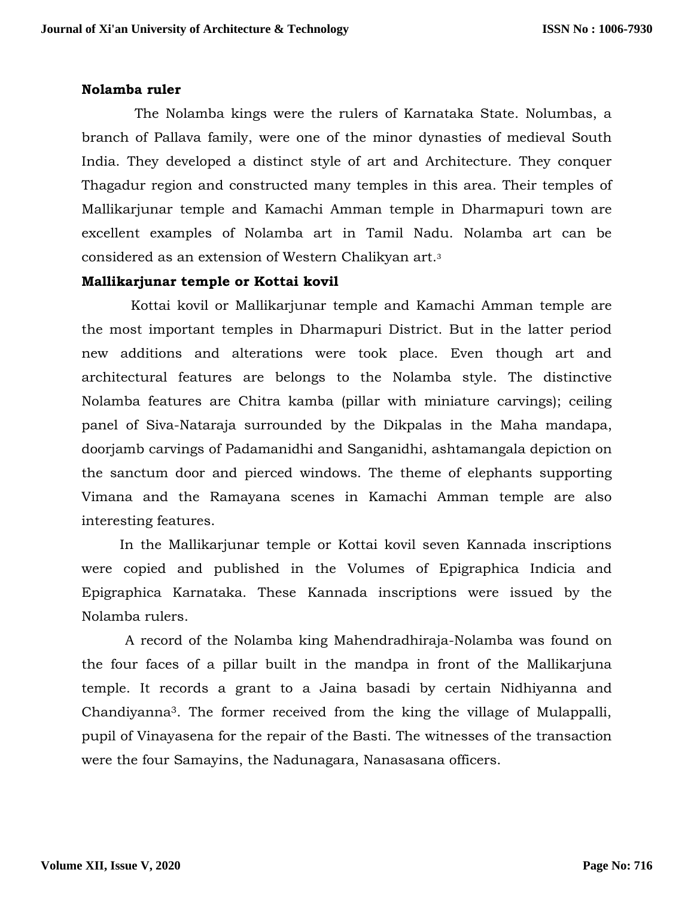## **Nolamba ruler**

 The Nolamba kings were the rulers of Karnataka State. Nolumbas, a branch of Pallava family, were one of the minor dynasties of medieval South India. They developed a distinct style of art and Architecture. They conquer Thagadur region and constructed many temples in this area. Their temples of Mallikarjunar temple and Kamachi Amman temple in Dharmapuri town are excellent examples of Nolamba art in Tamil Nadu. Nolamba art can be considered as an extension of Western Chalikyan art.<sup>3</sup>

### **Mallikarjunar temple or Kottai kovil**

 Kottai kovil or Mallikarjunar temple and Kamachi Amman temple are the most important temples in Dharmapuri District. But in the latter period new additions and alterations were took place. Even though art and architectural features are belongs to the Nolamba style. The distinctive Nolamba features are Chitra kamba (pillar with miniature carvings); ceiling panel of Siva-Nataraja surrounded by the Dikpalas in the Maha mandapa, doorjamb carvings of Padamanidhi and Sanganidhi, ashtamangala depiction on the sanctum door and pierced windows. The theme of elephants supporting Vimana and the Ramayana scenes in Kamachi Amman temple are also interesting features.

 In the Mallikarjunar temple or Kottai kovil seven Kannada inscriptions were copied and published in the Volumes of Epigraphica Indicia and Epigraphica Karnataka. These Kannada inscriptions were issued by the Nolamba rulers.

 A record of the Nolamba king Mahendradhiraja-Nolamba was found on the four faces of a pillar built in the mandpa in front of the Mallikarjuna temple. It records a grant to a Jaina basadi by certain Nidhiyanna and Chandiyanna3. The former received from the king the village of Mulappalli, pupil of Vinayasena for the repair of the Basti. The witnesses of the transaction were the four Samayins, the Nadunagara, Nanasasana officers.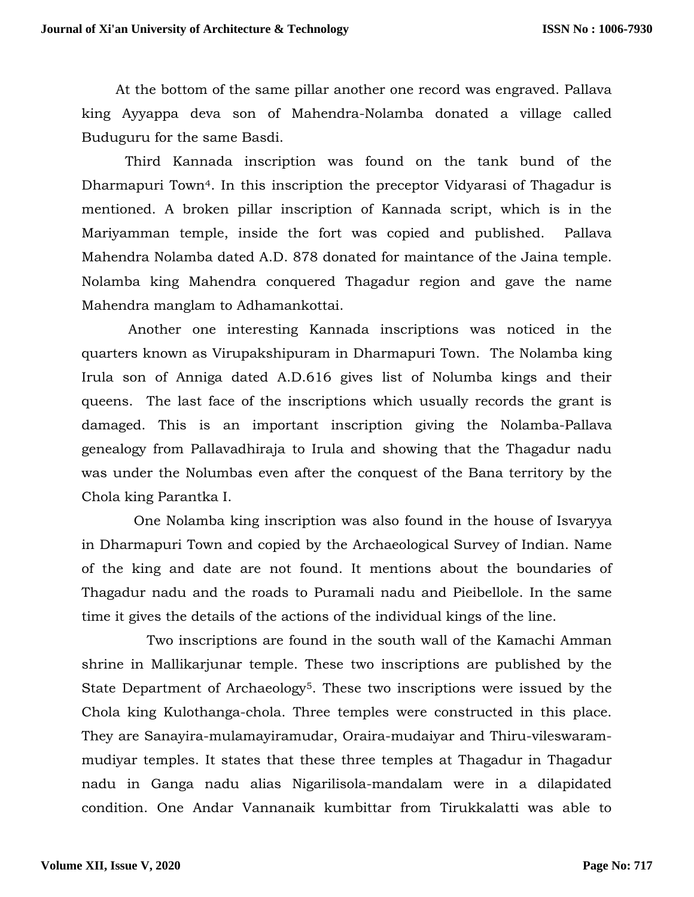At the bottom of the same pillar another one record was engraved. Pallava king Ayyappa deva son of Mahendra-Nolamba donated a village called Buduguru for the same Basdi.

 Third Kannada inscription was found on the tank bund of the Dharmapuri Town4. In this inscription the preceptor Vidyarasi of Thagadur is mentioned. A broken pillar inscription of Kannada script, which is in the Mariyamman temple, inside the fort was copied and published. Pallava Mahendra Nolamba dated A.D. 878 donated for maintance of the Jaina temple. Nolamba king Mahendra conquered Thagadur region and gave the name Mahendra manglam to Adhamankottai.

 Another one interesting Kannada inscriptions was noticed in the quarters known as Virupakshipuram in Dharmapuri Town. The Nolamba king Irula son of Anniga dated A.D.616 gives list of Nolumba kings and their queens. The last face of the inscriptions which usually records the grant is damaged. This is an important inscription giving the Nolamba-Pallava genealogy from Pallavadhiraja to Irula and showing that the Thagadur nadu was under the Nolumbas even after the conquest of the Bana territory by the Chola king Parantka I.

 One Nolamba king inscription was also found in the house of Isvaryya in Dharmapuri Town and copied by the Archaeological Survey of Indian. Name of the king and date are not found. It mentions about the boundaries of Thagadur nadu and the roads to Puramali nadu and Pieibellole. In the same time it gives the details of the actions of the individual kings of the line.

 Two inscriptions are found in the south wall of the Kamachi Amman shrine in Mallikarjunar temple. These two inscriptions are published by the State Department of Archaeology<sup>5</sup>. These two inscriptions were issued by the Chola king Kulothanga-chola. Three temples were constructed in this place. They are Sanayira-mulamayiramudar, Oraira-mudaiyar and Thiru-vileswarammudiyar temples. It states that these three temples at Thagadur in Thagadur nadu in Ganga nadu alias Nigarilisola-mandalam were in a dilapidated condition. One Andar Vannanaik kumbittar from Tirukkalatti was able to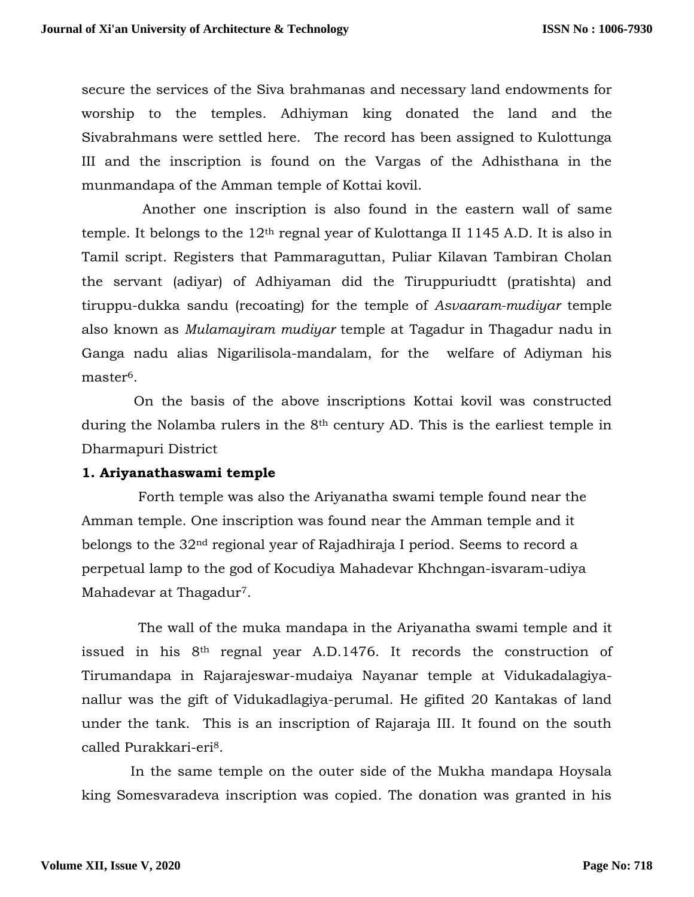secure the services of the Siva brahmanas and necessary land endowments for worship to the temples. Adhiyman king donated the land and the Sivabrahmans were settled here. The record has been assigned to Kulottunga III and the inscription is found on the Vargas of the Adhisthana in the munmandapa of the Amman temple of Kottai kovil.

 Another one inscription is also found in the eastern wall of same temple. It belongs to the  $12<sup>th</sup>$  regnal year of Kulottanga II 1145 A.D. It is also in Tamil script. Registers that Pammaraguttan, Puliar Kilavan Tambiran Cholan the servant (adiyar) of Adhiyaman did the Tiruppuriudtt (pratishta) and tiruppu-dukka sandu (recoating) for the temple of *Asvaaram-mudiyar* temple also known as *Mulamayiram mudiyar* temple at Tagadur in Thagadur nadu in Ganga nadu alias Nigarilisola-mandalam, for the welfare of Adiyman his master<sup>6</sup>.

 On the basis of the above inscriptions Kottai kovil was constructed during the Nolamba rulers in the 8th century AD. This is the earliest temple in Dharmapuri District

### **1. Ariyanathaswami temple**

 Forth temple was also the Ariyanatha swami temple found near the Amman temple. One inscription was found near the Amman temple and it belongs to the 32nd regional year of Rajadhiraja I period. Seems to record a perpetual lamp to the god of Kocudiya Mahadevar Khchngan-isvaram-udiya Mahadevar at Thagadur<sup>7</sup>.

 The wall of the muka mandapa in the Ariyanatha swami temple and it issued in his 8th regnal year A.D.1476. It records the construction of Tirumandapa in Rajarajeswar-mudaiya Nayanar temple at Vidukadalagiyanallur was the gift of Vidukadlagiya-perumal. He gifited 20 Kantakas of land under the tank. This is an inscription of Rajaraja III. It found on the south called Purakkari-eri8.

 In the same temple on the outer side of the Mukha mandapa Hoysala king Somesvaradeva inscription was copied. The donation was granted in his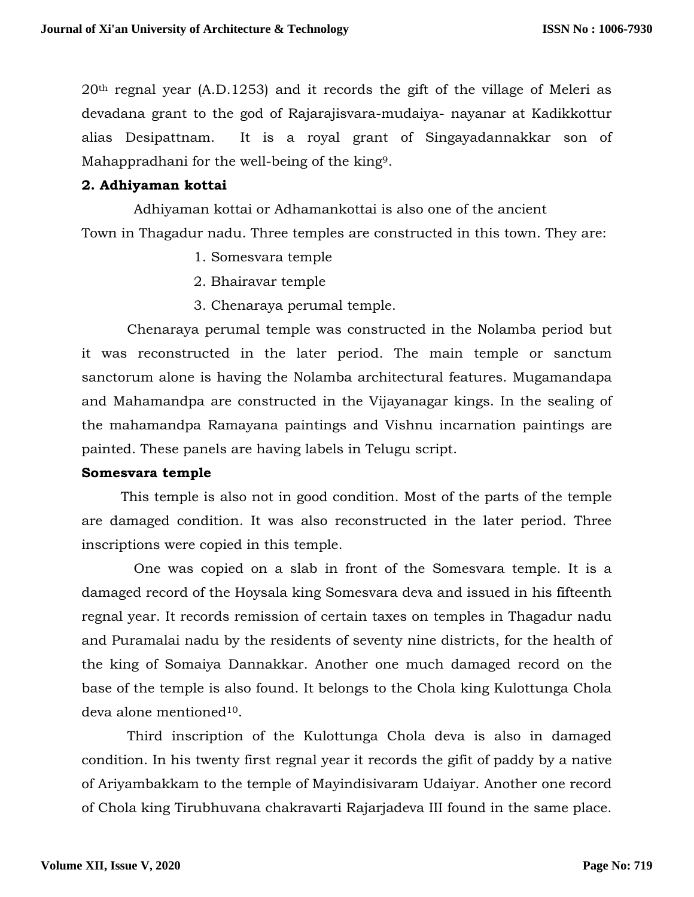20th regnal year (A.D.1253) and it records the gift of the village of Meleri as devadana grant to the god of Rajarajisvara-mudaiya- nayanar at Kadikkottur alias Desipattnam. It is a royal grant of Singayadannakkar son of Mahappradhani for the well-being of the king9.

## **2. Adhiyaman kottai**

 Adhiyaman kottai or Adhamankottai is also one of the ancient Town in Thagadur nadu. Three temples are constructed in this town. They are:

- 1. Somesvara temple
- 2. Bhairavar temple
- 3. Chenaraya perumal temple.

 Chenaraya perumal temple was constructed in the Nolamba period but it was reconstructed in the later period. The main temple or sanctum sanctorum alone is having the Nolamba architectural features. Mugamandapa and Mahamandpa are constructed in the Vijayanagar kings. In the sealing of the mahamandpa Ramayana paintings and Vishnu incarnation paintings are painted. These panels are having labels in Telugu script.

### **Somesvara temple**

 This temple is also not in good condition. Most of the parts of the temple are damaged condition. It was also reconstructed in the later period. Three inscriptions were copied in this temple.

 One was copied on a slab in front of the Somesvara temple. It is a damaged record of the Hoysala king Somesvara deva and issued in his fifteenth regnal year. It records remission of certain taxes on temples in Thagadur nadu and Puramalai nadu by the residents of seventy nine districts, for the health of the king of Somaiya Dannakkar. Another one much damaged record on the base of the temple is also found. It belongs to the Chola king Kulottunga Chola deva alone mentioned10.

 Third inscription of the Kulottunga Chola deva is also in damaged condition. In his twenty first regnal year it records the gifit of paddy by a native of Ariyambakkam to the temple of Mayindisivaram Udaiyar. Another one record of Chola king Tirubhuvana chakravarti Rajarjadeva III found in the same place.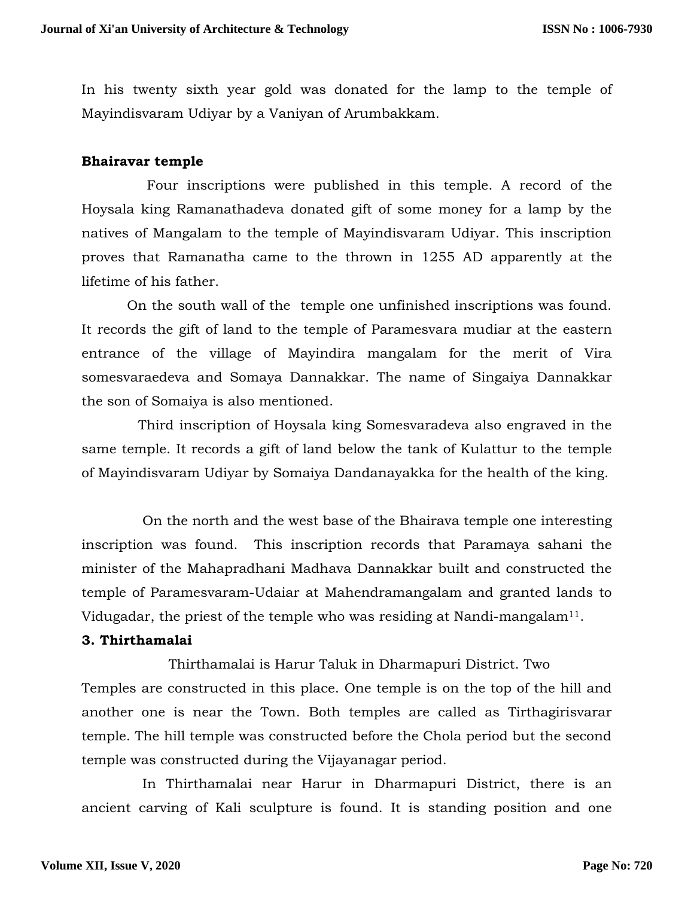In his twenty sixth year gold was donated for the lamp to the temple of Mayindisvaram Udiyar by a Vaniyan of Arumbakkam.

## **Bhairavar temple**

 Four inscriptions were published in this temple. A record of the Hoysala king Ramanathadeva donated gift of some money for a lamp by the natives of Mangalam to the temple of Mayindisvaram Udiyar. This inscription proves that Ramanatha came to the thrown in 1255 AD apparently at the lifetime of his father.

 On the south wall of the temple one unfinished inscriptions was found. It records the gift of land to the temple of Paramesvara mudiar at the eastern entrance of the village of Mayindira mangalam for the merit of Vira somesvaraedeva and Somaya Dannakkar. The name of Singaiya Dannakkar the son of Somaiya is also mentioned.

 Third inscription of Hoysala king Somesvaradeva also engraved in the same temple. It records a gift of land below the tank of Kulattur to the temple of Mayindisvaram Udiyar by Somaiya Dandanayakka for the health of the king.

 On the north and the west base of the Bhairava temple one interesting inscription was found. This inscription records that Paramaya sahani the minister of the Mahapradhani Madhava Dannakkar built and constructed the temple of Paramesvaram-Udaiar at Mahendramangalam and granted lands to Vidugadar, the priest of the temple who was residing at Nandi-mangalam<sup>11</sup>.

### **3. Thirthamalai**

 Thirthamalai is Harur Taluk in Dharmapuri District. Two Temples are constructed in this place. One temple is on the top of the hill and another one is near the Town. Both temples are called as Tirthagirisvarar temple. The hill temple was constructed before the Chola period but the second temple was constructed during the Vijayanagar period.

 In Thirthamalai near Harur in Dharmapuri District, there is an ancient carving of Kali sculpture is found. It is standing position and one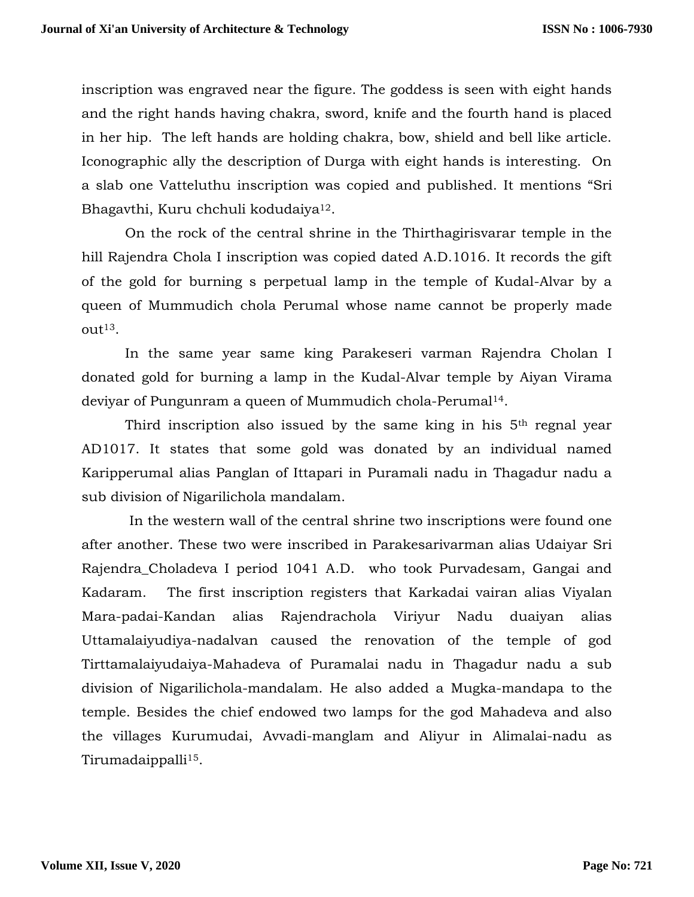inscription was engraved near the figure. The goddess is seen with eight hands and the right hands having chakra, sword, knife and the fourth hand is placed in her hip. The left hands are holding chakra, bow, shield and bell like article. Iconographic ally the description of Durga with eight hands is interesting. On a slab one Vatteluthu inscription was copied and published. It mentions "Sri Bhagavthi, Kuru chchuli kodudaiya12.

 On the rock of the central shrine in the Thirthagirisvarar temple in the hill Rajendra Chola I inscription was copied dated A.D.1016. It records the gift of the gold for burning s perpetual lamp in the temple of Kudal-Alvar by a queen of Mummudich chola Perumal whose name cannot be properly made  $\Omega$ ut<sup>13</sup>.

 In the same year same king Parakeseri varman Rajendra Cholan I donated gold for burning a lamp in the Kudal-Alvar temple by Aiyan Virama deviyar of Pungunram a queen of Mummudich chola-Perumal14.

Third inscription also issued by the same king in his 5<sup>th</sup> regnal year AD1017. It states that some gold was donated by an individual named Karipperumal alias Panglan of Ittapari in Puramali nadu in Thagadur nadu a sub division of Nigarilichola mandalam.

 In the western wall of the central shrine two inscriptions were found one after another. These two were inscribed in Parakesarivarman alias Udaiyar Sri Rajendra\_Choladeva I period 1041 A.D. who took Purvadesam, Gangai and Kadaram. The first inscription registers that Karkadai vairan alias Viyalan Mara-padai-Kandan alias Rajendrachola Viriyur Nadu duaiyan alias Uttamalaiyudiya-nadalvan caused the renovation of the temple of god Tirttamalaiyudaiya-Mahadeva of Puramalai nadu in Thagadur nadu a sub division of Nigarilichola-mandalam. He also added a Mugka-mandapa to the temple. Besides the chief endowed two lamps for the god Mahadeva and also the villages Kurumudai, Avvadi-manglam and Aliyur in Alimalai-nadu as Tirumadaippalli<sup>15</sup>.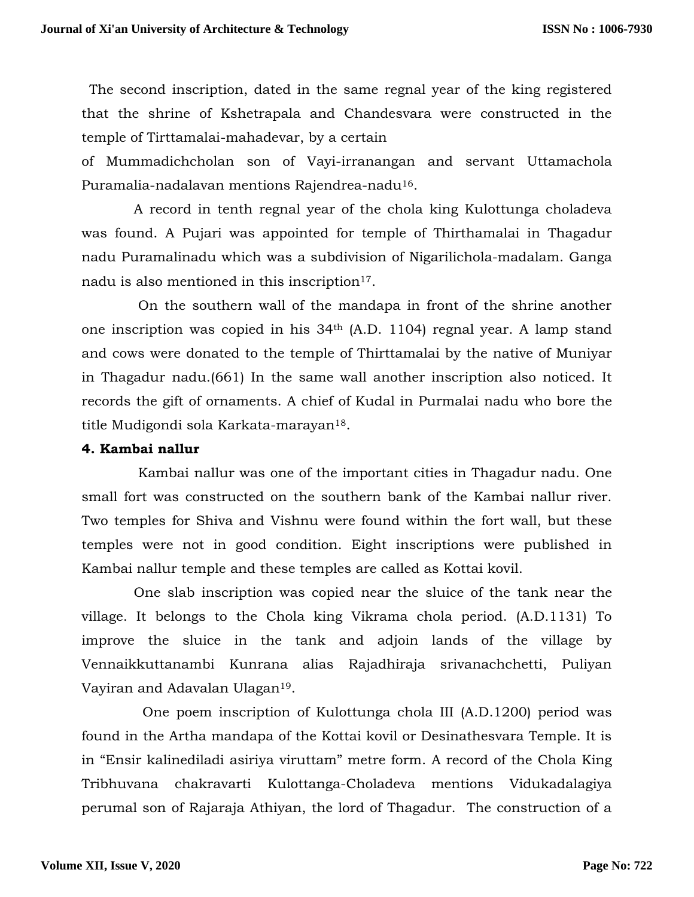The second inscription, dated in the same regnal year of the king registered that the shrine of Kshetrapala and Chandesvara were constructed in the temple of Tirttamalai-mahadevar, by a certain

of Mummadichcholan son of Vayi-irranangan and servant Uttamachola Puramalia-nadalavan mentions Rajendrea-nadu16.

 A record in tenth regnal year of the chola king Kulottunga choladeva was found. A Pujari was appointed for temple of Thirthamalai in Thagadur nadu Puramalinadu which was a subdivision of Nigarilichola-madalam. Ganga nadu is also mentioned in this inscription<sup>17</sup>.

 On the southern wall of the mandapa in front of the shrine another one inscription was copied in his 34th (A.D. 1104) regnal year. A lamp stand and cows were donated to the temple of Thirttamalai by the native of Muniyar in Thagadur nadu.(661) In the same wall another inscription also noticed. It records the gift of ornaments. A chief of Kudal in Purmalai nadu who bore the title Mudigondi sola Karkata-marayan18.

## **4. Kambai nallur**

 Kambai nallur was one of the important cities in Thagadur nadu. One small fort was constructed on the southern bank of the Kambai nallur river. Two temples for Shiva and Vishnu were found within the fort wall, but these temples were not in good condition. Eight inscriptions were published in Kambai nallur temple and these temples are called as Kottai kovil.

 One slab inscription was copied near the sluice of the tank near the village. It belongs to the Chola king Vikrama chola period. (A.D.1131) To improve the sluice in the tank and adjoin lands of the village by Vennaikkuttanambi Kunrana alias Rajadhiraja srivanachchetti, Puliyan Vayiran and Adavalan Ulagan19.

 One poem inscription of Kulottunga chola III (A.D.1200) period was found in the Artha mandapa of the Kottai kovil or Desinathesvara Temple. It is in "Ensir kalinediladi asiriya viruttam" metre form. A record of the Chola King Tribhuvana chakravarti Kulottanga-Choladeva mentions Vidukadalagiya perumal son of Rajaraja Athiyan, the lord of Thagadur. The construction of a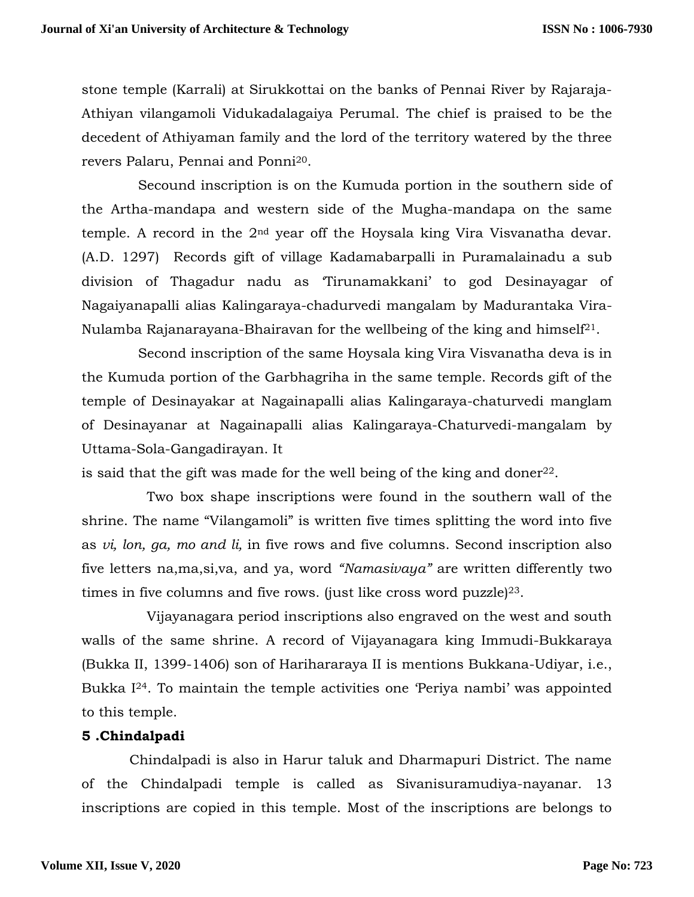stone temple (Karrali) at Sirukkottai on the banks of Pennai River by Rajaraja-Athiyan vilangamoli Vidukadalagaiya Perumal. The chief is praised to be the decedent of Athiyaman family and the lord of the territory watered by the three revers Palaru, Pennai and Ponni20.

 Secound inscription is on the Kumuda portion in the southern side of the Artha-mandapa and western side of the Mugha-mandapa on the same temple. A record in the 2nd year off the Hoysala king Vira Visvanatha devar. (A.D. 1297) Records gift of village Kadamabarpalli in Puramalainadu a sub division of Thagadur nadu as 'Tirunamakkani' to god Desinayagar of Nagaiyanapalli alias Kalingaraya-chadurvedi mangalam by Madurantaka Vira-Nulamba Rajanarayana-Bhairavan for the wellbeing of the king and himself<sup>21</sup>.

 Second inscription of the same Hoysala king Vira Visvanatha deva is in the Kumuda portion of the Garbhagriha in the same temple. Records gift of the temple of Desinayakar at Nagainapalli alias Kalingaraya-chaturvedi manglam of Desinayanar at Nagainapalli alias Kalingaraya-Chaturvedi-mangalam by Uttama-Sola-Gangadirayan. It

is said that the gift was made for the well being of the king and doner<sup>22</sup>.

 Two box shape inscriptions were found in the southern wall of the shrine. The name "Vilangamoli" is written five times splitting the word into five as *vi, lon, ga, mo and li,* in five rows and five columns. Second inscription also five letters na,ma,si,va, and ya, word *"Namasivaya"* are written differently two times in five columns and five rows. (just like cross word puzzle) $^{23}$ .

 Vijayanagara period inscriptions also engraved on the west and south walls of the same shrine. A record of Vijayanagara king Immudi-Bukkaraya (Bukka II, 1399-1406) son of Harihararaya II is mentions Bukkana-Udiyar, i.e., Bukka I24. To maintain the temple activities one 'Periya nambi' was appointed to this temple.

## **5 .Chindalpadi**

 Chindalpadi is also in Harur taluk and Dharmapuri District. The name of the Chindalpadi temple is called as Sivanisuramudiya-nayanar. 13 inscriptions are copied in this temple. Most of the inscriptions are belongs to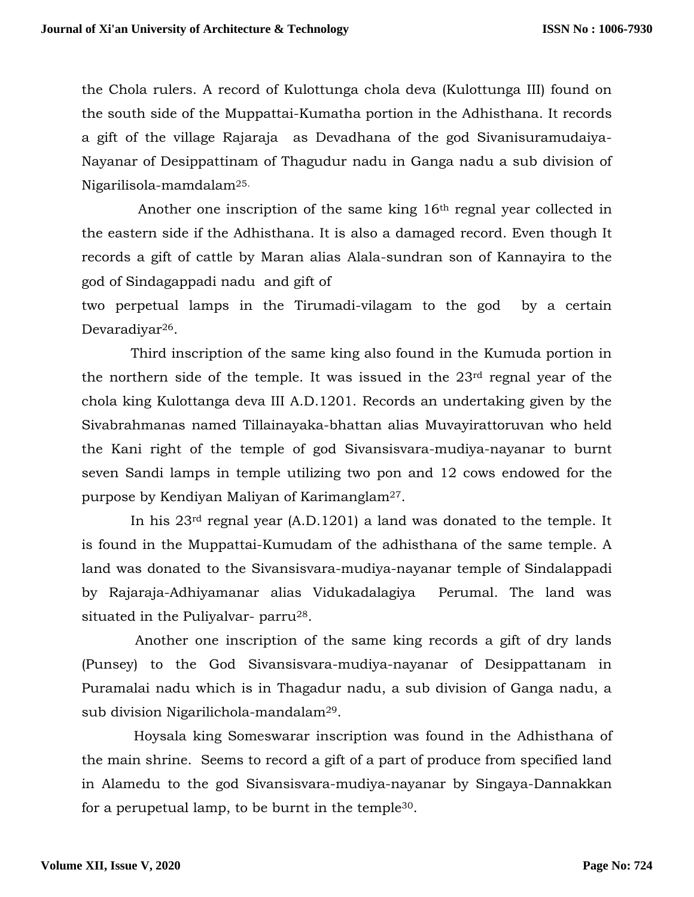the Chola rulers. A record of Kulottunga chola deva (Kulottunga III) found on the south side of the Muppattai-Kumatha portion in the Adhisthana. It records a gift of the village Rajaraja as Devadhana of the god Sivanisuramudaiya-Nayanar of Desippattinam of Thagudur nadu in Ganga nadu a sub division of Nigarilisola-mamdalam25.

 Another one inscription of the same king 16th regnal year collected in the eastern side if the Adhisthana. It is also a damaged record. Even though It records a gift of cattle by Maran alias Alala-sundran son of Kannayira to the god of Sindagappadi nadu and gift of

two perpetual lamps in the Tirumadi-vilagam to the god by a certain Devaradiyar<sup>26</sup>.

 Third inscription of the same king also found in the Kumuda portion in the northern side of the temple. It was issued in the 23rd regnal year of the chola king Kulottanga deva III A.D.1201. Records an undertaking given by the Sivabrahmanas named Tillainayaka-bhattan alias Muvayirattoruvan who held the Kani right of the temple of god Sivansisvara-mudiya-nayanar to burnt seven Sandi lamps in temple utilizing two pon and 12 cows endowed for the purpose by Kendiyan Maliyan of Karimanglam27.

 In his 23rd regnal year (A.D.1201) a land was donated to the temple. It is found in the Muppattai-Kumudam of the adhisthana of the same temple. A land was donated to the Sivansisvara-mudiya-nayanar temple of Sindalappadi by Rajaraja-Adhiyamanar alias Vidukadalagiya Perumal. The land was situated in the Puliyalvar- parru<sup>28</sup>.

 Another one inscription of the same king records a gift of dry lands (Punsey) to the God Sivansisvara-mudiya-nayanar of Desippattanam in Puramalai nadu which is in Thagadur nadu, a sub division of Ganga nadu, a sub division Nigarilichola-mandalam29.

 Hoysala king Someswarar inscription was found in the Adhisthana of the main shrine. Seems to record a gift of a part of produce from specified land in Alamedu to the god Sivansisvara-mudiya-nayanar by Singaya-Dannakkan for a perupetual lamp, to be burnt in the temple30.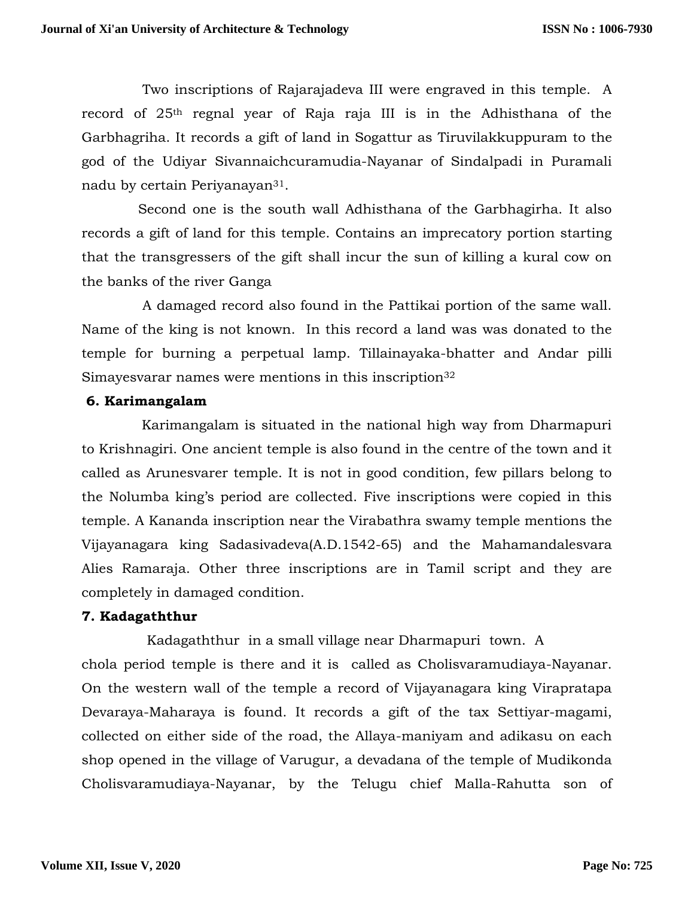Two inscriptions of Rajarajadeva III were engraved in this temple. A record of 25th regnal year of Raja raja III is in the Adhisthana of the Garbhagriha. It records a gift of land in Sogattur as Tiruvilakkuppuram to the god of the Udiyar Sivannaichcuramudia-Nayanar of Sindalpadi in Puramali nadu by certain Periyanayan31.

 Second one is the south wall Adhisthana of the Garbhagirha. It also records a gift of land for this temple. Contains an imprecatory portion starting that the transgressers of the gift shall incur the sun of killing a kural cow on the banks of the river Ganga

 A damaged record also found in the Pattikai portion of the same wall. Name of the king is not known. In this record a land was was donated to the temple for burning a perpetual lamp. Tillainayaka-bhatter and Andar pilli Simayesvarar names were mentions in this inscription<sup>32</sup>

## **6. Karimangalam**

Karimangalam is situated in the national high way from Dharmapuri to Krishnagiri. One ancient temple is also found in the centre of the town and it called as Arunesvarer temple. It is not in good condition, few pillars belong to the Nolumba king's period are collected. Five inscriptions were copied in this temple. A Kananda inscription near the Virabathra swamy temple mentions the Vijayanagara king Sadasivadeva(A.D.1542-65) and the Mahamandalesvara Alies Ramaraja. Other three inscriptions are in Tamil script and they are completely in damaged condition.

## **7. Kadagaththur**

 Kadagaththur in a small village near Dharmapuri town. A chola period temple is there and it is called as Cholisvaramudiaya-Nayanar. On the western wall of the temple a record of Vijayanagara king Virapratapa Devaraya-Maharaya is found. It records a gift of the tax Settiyar-magami, collected on either side of the road, the Allaya-maniyam and adikasu on each shop opened in the village of Varugur, a devadana of the temple of Mudikonda Cholisvaramudiaya-Nayanar, by the Telugu chief Malla-Rahutta son of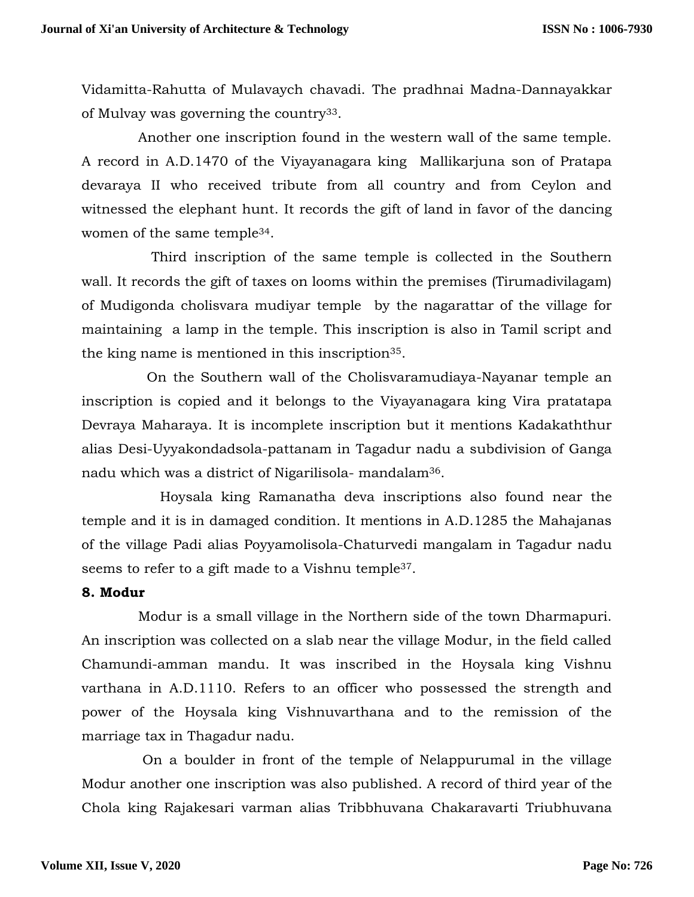Vidamitta-Rahutta of Mulavaych chavadi. The pradhnai Madna-Dannayakkar of Mulvay was governing the country33.

 Another one inscription found in the western wall of the same temple. A record in A.D.1470 of the Viyayanagara king Mallikarjuna son of Pratapa devaraya II who received tribute from all country and from Ceylon and witnessed the elephant hunt. It records the gift of land in favor of the dancing women of the same temple34.

 Third inscription of the same temple is collected in the Southern wall. It records the gift of taxes on looms within the premises (Tirumadivilagam) of Mudigonda cholisvara mudiyar temple by the nagarattar of the village for maintaining a lamp in the temple. This inscription is also in Tamil script and the king name is mentioned in this inscription35.

 On the Southern wall of the Cholisvaramudiaya-Nayanar temple an inscription is copied and it belongs to the Viyayanagara king Vira pratatapa Devraya Maharaya. It is incomplete inscription but it mentions Kadakaththur alias Desi-Uyyakondadsola-pattanam in Tagadur nadu a subdivision of Ganga nadu which was a district of Nigarilisola- mandalam36.

 Hoysala king Ramanatha deva inscriptions also found near the temple and it is in damaged condition. It mentions in A.D.1285 the Mahajanas of the village Padi alias Poyyamolisola-Chaturvedi mangalam in Tagadur nadu seems to refer to a gift made to a Vishnu temple<sup>37</sup>.

### **8. Modur**

 Modur is a small village in the Northern side of the town Dharmapuri. An inscription was collected on a slab near the village Modur, in the field called Chamundi-amman mandu. It was inscribed in the Hoysala king Vishnu varthana in A.D.1110. Refers to an officer who possessed the strength and power of the Hoysala king Vishnuvarthana and to the remission of the marriage tax in Thagadur nadu.

 On a boulder in front of the temple of Nelappurumal in the village Modur another one inscription was also published. A record of third year of the Chola king Rajakesari varman alias Tribbhuvana Chakaravarti Triubhuvana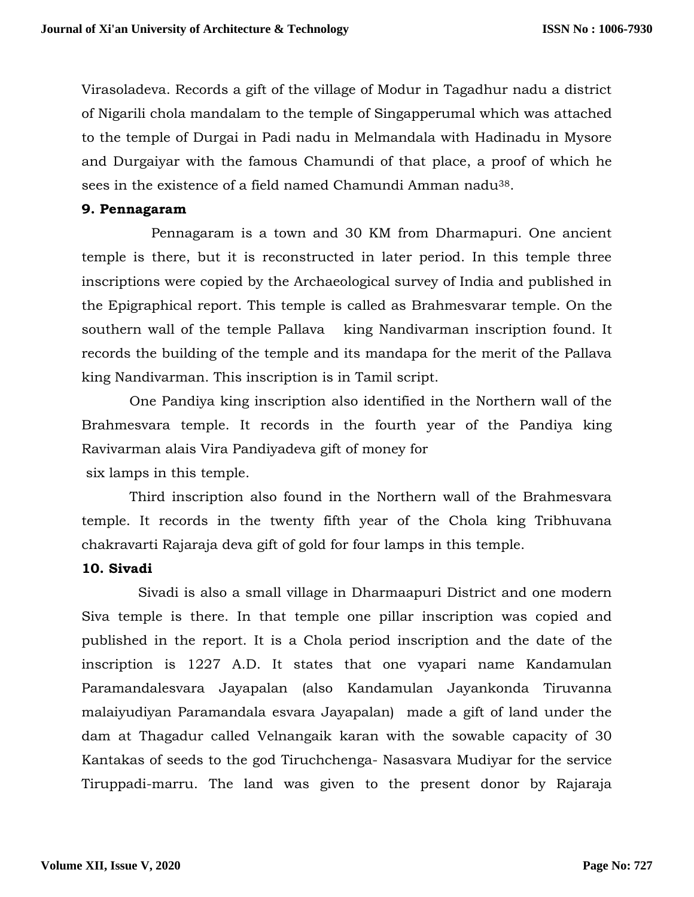Virasoladeva. Records a gift of the village of Modur in Tagadhur nadu a district of Nigarili chola mandalam to the temple of Singapperumal which was attached to the temple of Durgai in Padi nadu in Melmandala with Hadinadu in Mysore and Durgaiyar with the famous Chamundi of that place, a proof of which he sees in the existence of a field named Chamundi Amman nadu38.

### **9. Pennagaram**

 Pennagaram is a town and 30 KM from Dharmapuri. One ancient temple is there, but it is reconstructed in later period. In this temple three inscriptions were copied by the Archaeological survey of India and published in the Epigraphical report. This temple is called as Brahmesvarar temple. On the southern wall of the temple Pallava king Nandivarman inscription found. It records the building of the temple and its mandapa for the merit of the Pallava king Nandivarman. This inscription is in Tamil script.

 One Pandiya king inscription also identified in the Northern wall of the Brahmesvara temple. It records in the fourth year of the Pandiya king Ravivarman alais Vira Pandiyadeva gift of money for six lamps in this temple.

 Third inscription also found in the Northern wall of the Brahmesvara temple. It records in the twenty fifth year of the Chola king Tribhuvana chakravarti Rajaraja deva gift of gold for four lamps in this temple.

## **10. Sivadi**

 Sivadi is also a small village in Dharmaapuri District and one modern Siva temple is there. In that temple one pillar inscription was copied and published in the report. It is a Chola period inscription and the date of the inscription is 1227 A.D. It states that one vyapari name Kandamulan Paramandalesvara Jayapalan (also Kandamulan Jayankonda Tiruvanna malaiyudiyan Paramandala esvara Jayapalan) made a gift of land under the dam at Thagadur called Velnangaik karan with the sowable capacity of 30 Kantakas of seeds to the god Tiruchchenga- Nasasvara Mudiyar for the service Tiruppadi-marru. The land was given to the present donor by Rajaraja